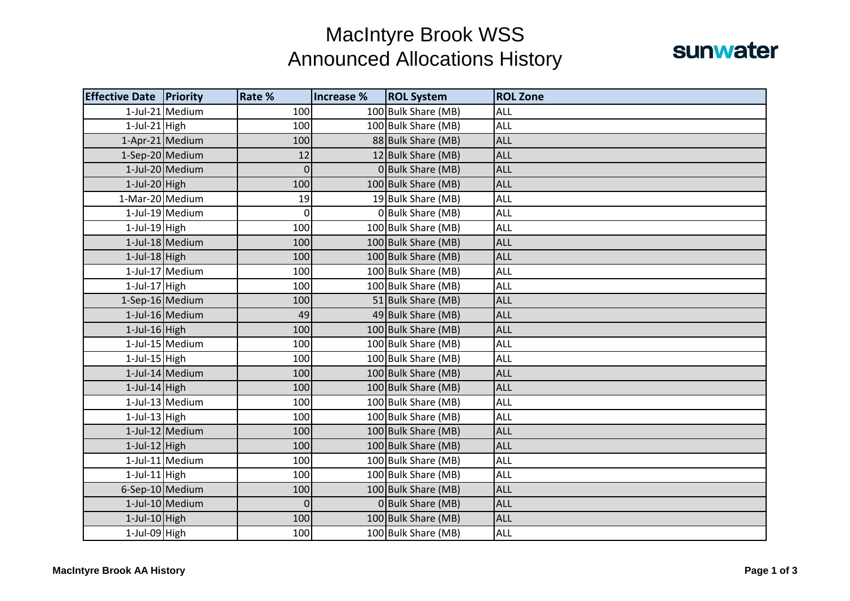## MacIntyre Brook WSS Announced Allocations History



| <b>Effective Date Priority</b> |                 | Rate %      | Increase % | <b>ROL System</b>   | <b>ROL Zone</b> |
|--------------------------------|-----------------|-------------|------------|---------------------|-----------------|
|                                | 1-Jul-21 Medium | 100         |            | 100 Bulk Share (MB) | ALL             |
| $1$ -Jul-21 High               |                 | 100         |            | 100 Bulk Share (MB) | <b>ALL</b>      |
|                                | 1-Apr-21 Medium | 100         |            | 88 Bulk Share (MB)  | <b>ALL</b>      |
| 1-Sep-20 Medium                |                 | 12          |            | 12 Bulk Share (MB)  | <b>ALL</b>      |
|                                | 1-Jul-20 Medium | $\mathbf 0$ |            | 0 Bulk Share (MB)   | <b>ALL</b>      |
| $1$ -Jul-20 High               |                 | 100         |            | 100 Bulk Share (MB) | <b>ALL</b>      |
| 1-Mar-20 Medium                |                 | 19          |            | 19 Bulk Share (MB)  | ALL             |
|                                | 1-Jul-19 Medium | 0           |            | 0 Bulk Share (MB)   | <b>ALL</b>      |
| $1$ -Jul-19 High               |                 | 100         |            | 100 Bulk Share (MB) | ALL             |
|                                | 1-Jul-18 Medium | 100         |            | 100 Bulk Share (MB) | <b>ALL</b>      |
| $1$ -Jul-18 High               |                 | 100         |            | 100 Bulk Share (MB) | <b>ALL</b>      |
|                                | 1-Jul-17 Medium | 100         |            | 100 Bulk Share (MB) | ALL             |
| $1$ -Jul-17 High               |                 | 100         |            | 100 Bulk Share (MB) | ALL             |
| 1-Sep-16 Medium                |                 | 100         |            | 51 Bulk Share (MB)  | <b>ALL</b>      |
|                                | 1-Jul-16 Medium | 49          |            | 49 Bulk Share (MB)  | <b>ALL</b>      |
| $1$ -Jul-16 High               |                 | 100         |            | 100 Bulk Share (MB) | <b>ALL</b>      |
|                                | 1-Jul-15 Medium | 100         |            | 100 Bulk Share (MB) | <b>ALL</b>      |
| $1$ -Jul-15 High               |                 | 100         |            | 100 Bulk Share (MB) | <b>ALL</b>      |
|                                | 1-Jul-14 Medium | 100         |            | 100 Bulk Share (MB) | <b>ALL</b>      |
| $1$ -Jul-14 High               |                 | 100         |            | 100 Bulk Share (MB) | <b>ALL</b>      |
|                                | 1-Jul-13 Medium | 100         |            | 100 Bulk Share (MB) | <b>ALL</b>      |
| $1$ -Jul-13 High               |                 | 100         |            | 100 Bulk Share (MB) | ALL             |
|                                | 1-Jul-12 Medium | 100         |            | 100 Bulk Share (MB) | <b>ALL</b>      |
| $1$ -Jul- $12$ High            |                 | 100         |            | 100 Bulk Share (MB) | <b>ALL</b>      |
|                                | 1-Jul-11 Medium | 100         |            | 100 Bulk Share (MB) | ALL             |
| $1$ -Jul-11 High               |                 | 100         |            | 100 Bulk Share (MB) | ALL             |
|                                | 6-Sep-10 Medium | 100         |            | 100 Bulk Share (MB) | <b>ALL</b>      |
|                                | 1-Jul-10 Medium | 0           |            | 0 Bulk Share (MB)   | ALL             |
| $1$ -Jul-10 High               |                 | 100         |            | 100 Bulk Share (MB) | <b>ALL</b>      |
| 1-Jul-09 High                  |                 | 100         |            | 100 Bulk Share (MB) | <b>ALL</b>      |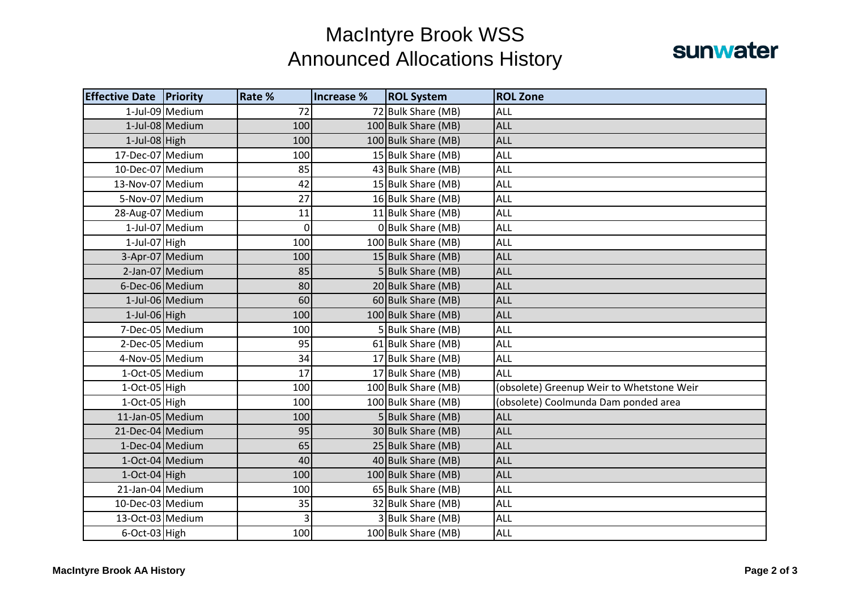## MacIntyre Brook WSS Announced Allocations History



| <b>Effective Date Priority</b> |                 | Rate % | Increase % | <b>ROL System</b>   | <b>ROL Zone</b>                           |
|--------------------------------|-----------------|--------|------------|---------------------|-------------------------------------------|
|                                | 1-Jul-09 Medium | 72     |            | 72 Bulk Share (MB)  | ALL                                       |
|                                | 1-Jul-08 Medium | 100    |            | 100 Bulk Share (MB) | <b>ALL</b>                                |
| $1$ -Jul-08 High               |                 | 100    |            | 100 Bulk Share (MB) | <b>ALL</b>                                |
| 17-Dec-07 Medium               |                 | 100    |            | 15 Bulk Share (MB)  | <b>ALL</b>                                |
| 10-Dec-07 Medium               |                 | 85     |            | 43 Bulk Share (MB)  | ALL                                       |
| 13-Nov-07 Medium               |                 | 42     |            | 15 Bulk Share (MB)  | ALL                                       |
| 5-Nov-07 Medium                |                 | 27     |            | 16 Bulk Share (MB)  | ALL                                       |
| 28-Aug-07 Medium               |                 | 11     |            | 11 Bulk Share (MB)  | <b>ALL</b>                                |
|                                | 1-Jul-07 Medium | 0      |            | 0 Bulk Share (MB)   | ALL                                       |
| $1$ -Jul-07 High               |                 | 100    |            | 100 Bulk Share (MB) | ALL                                       |
|                                | 3-Apr-07 Medium | 100    |            | 15 Bulk Share (MB)  | <b>ALL</b>                                |
|                                | 2-Jan-07 Medium | 85     |            | 5 Bulk Share (MB)   | <b>ALL</b>                                |
| 6-Dec-06 Medium                |                 | 80     |            | 20 Bulk Share (MB)  | <b>ALL</b>                                |
|                                | 1-Jul-06 Medium | 60     |            | 60 Bulk Share (MB)  | <b>ALL</b>                                |
| $1$ -Jul-06 High               |                 | 100    |            | 100 Bulk Share (MB) | <b>ALL</b>                                |
| 7-Dec-05 Medium                |                 | 100    |            | 5 Bulk Share (MB)   | ALL                                       |
|                                | 2-Dec-05 Medium | 95     |            | 61 Bulk Share (MB)  | <b>ALL</b>                                |
| 4-Nov-05 Medium                |                 | 34     |            | 17 Bulk Share (MB)  | <b>ALL</b>                                |
|                                | 1-Oct-05 Medium | 17     |            | 17 Bulk Share (MB)  | ALL                                       |
| 1-Oct-05 High                  |                 | 100    |            | 100 Bulk Share (MB) | (obsolete) Greenup Weir to Whetstone Weir |
| 1-Oct-05 High                  |                 | 100    |            | 100 Bulk Share (MB) | (obsolete) Coolmunda Dam ponded area      |
| 11-Jan-05 Medium               |                 | 100    |            | 5 Bulk Share (MB)   | <b>ALL</b>                                |
| 21-Dec-04 Medium               |                 | 95     |            | 30 Bulk Share (MB)  | <b>ALL</b>                                |
|                                | 1-Dec-04 Medium | 65     |            | 25 Bulk Share (MB)  | <b>ALL</b>                                |
| 1-Oct-04 Medium                |                 | 40     |            | 40 Bulk Share (MB)  | <b>ALL</b>                                |
| $1-Oct-04$ High                |                 | 100    |            | 100 Bulk Share (MB) | <b>ALL</b>                                |
| 21-Jan-04 Medium               |                 | 100    |            | 65 Bulk Share (MB)  | ALL                                       |
| 10-Dec-03 Medium               |                 | 35     |            | 32 Bulk Share (MB)  | <b>ALL</b>                                |
| 13-Oct-03 Medium               |                 | 3      |            | 3 Bulk Share (MB)   | ALL                                       |
| 6-Oct-03 High                  |                 | 100    |            | 100 Bulk Share (MB) | <b>ALL</b>                                |